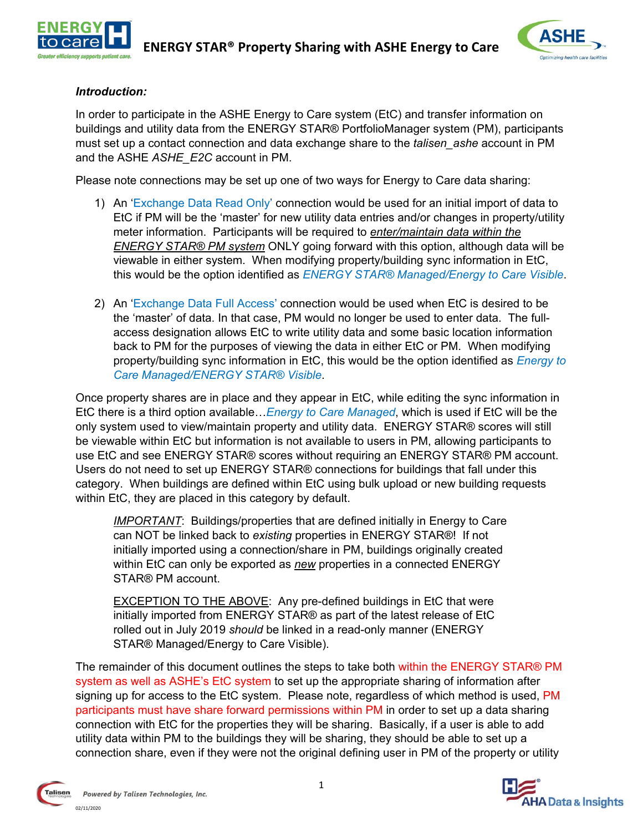



#### *Introduction:*

In order to participate in the ASHE Energy to Care system (EtC) and transfer information on buildings and utility data from the ENERGY STAR® PortfolioManager system (PM), participants must set up a contact connection and data exchange share to the *talisen\_ashe* account in PM and the ASHE *ASHE\_E2C* account in PM.

Please note connections may be set up one of two ways for Energy to Care data sharing:

- 1) An 'Exchange Data Read Only' connection would be used for an initial import of data to EtC if PM will be the 'master' for new utility data entries and/or changes in property/utility meter information. Participants will be required to *enter/maintain data within the ENERGY STAR® PM system* ONLY going forward with this option, although data will be viewable in either system. When modifying property/building sync information in EtC, this would be the option identified as *ENERGY STAR® Managed/Energy to Care Visible*.
- 2) An 'Exchange Data Full Access' connection would be used when EtC is desired to be the 'master' of data. In that case, PM would no longer be used to enter data. The fullaccess designation allows EtC to write utility data and some basic location information back to PM for the purposes of viewing the data in either EtC or PM. When modifying property/building sync information in EtC, this would be the option identified as *Energy to Care Managed/ENERGY STAR® Visible*.

Once property shares are in place and they appear in EtC, while editing the sync information in EtC there is a third option available…*Energy to Care Managed*, which is used if EtC will be the only system used to view/maintain property and utility data. ENERGY STAR® scores will still be viewable within EtC but information is not available to users in PM, allowing participants to use EtC and see ENERGY STAR® scores without requiring an ENERGY STAR® PM account. Users do not need to set up ENERGY STAR® connections for buildings that fall under this category. When buildings are defined within EtC using bulk upload or new building requests within EtC, they are placed in this category by default.

*IMPORTANT*: Buildings/properties that are defined initially in Energy to Care can NOT be linked back to *existing* properties in ENERGY STAR®! If not initially imported using a connection/share in PM, buildings originally created within EtC can only be exported as *new* properties in a connected ENERGY STAR® PM account.

EXCEPTION TO THE ABOVE: Any pre-defined buildings in EtC that were initially imported from ENERGY STAR® as part of the latest release of EtC rolled out in July 2019 *should* be linked in a read-only manner (ENERGY STAR® Managed/Energy to Care Visible).

The remainder of this document outlines the steps to take both within the ENERGY STAR® PM system as well as ASHE's EtC system to set up the appropriate sharing of information after signing up for access to the EtC system. Please note, regardless of which method is used, PM participants must have share forward permissions within PM in order to set up a data sharing connection with EtC for the properties they will be sharing. Basically, if a user is able to add utility data within PM to the buildings they will be sharing, they should be able to set up a connection share, even if they were not the original defining user in PM of the property or utility



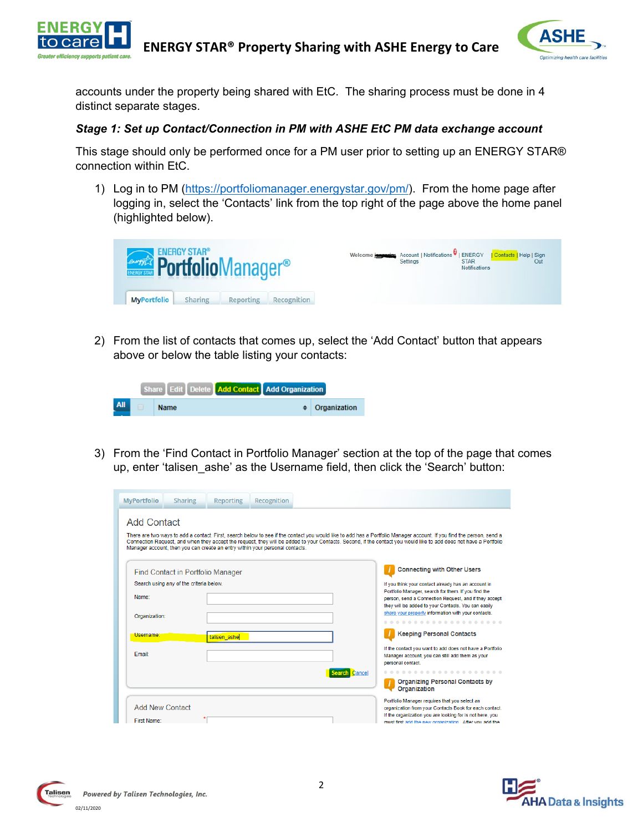



accounts under the property being shared with EtC. The sharing process must be done in 4 distinct separate stages.

#### *Stage 1: Set up Contact/Connection in PM with ASHE EtC PM data exchange account*

This stage should only be performed once for a PM user prior to setting up an ENERGY STAR® connection within EtC.

1) Log in to PM [\(https://portfoliomanager.energystar.gov/pm/\)](https://portfoliomanager.energystar.gov/pm/). From the home page after logging in, select the 'Contacts' link from the top right of the page above the home panel (highlighted below).

|  |  | <b><i><b>ENERGY STAR®</b></i><br/><b>Portfolio</b>Manager®</b><br><b>MyPortfolio</b> | Sharing | Reporting | Recognition |  | Welcome <b>Exercise</b> Account   Notifications   ENERGY   Contacts   Help   Sign<br>Settings | <b>STAR</b><br><b>Notifications</b> |  | Out |  |
|--|--|--------------------------------------------------------------------------------------|---------|-----------|-------------|--|-----------------------------------------------------------------------------------------------|-------------------------------------|--|-----|--|
|--|--|--------------------------------------------------------------------------------------|---------|-----------|-------------|--|-----------------------------------------------------------------------------------------------|-------------------------------------|--|-----|--|

2) From the list of contacts that comes up, select the 'Add Contact' button that appears above or below the table listing your contacts:

|  |             | Share Edit Delete Add Contact Add Organization |                        |
|--|-------------|------------------------------------------------|------------------------|
|  | <b>Name</b> |                                                | $\bullet$ Organization |

3) From the 'Find Contact in Portfolio Manager' section at the top of the page that comes up, enter 'talisen ashe' as the Username field, then click the 'Search' button:

| <b>MyPortfolio</b>     | <b>Sharing</b>                          | <b>Reporting</b> | Recognition                                                                  |                                                                                                                                                                                                                                                                                                                                           |
|------------------------|-----------------------------------------|------------------|------------------------------------------------------------------------------|-------------------------------------------------------------------------------------------------------------------------------------------------------------------------------------------------------------------------------------------------------------------------------------------------------------------------------------------|
| <b>Add Contact</b>     |                                         |                  | Manager account, then you can create an entry within your personal contacts. | There are two ways to add a contact. First, search below to see if the contact you would like to add has a Portfolio Manager account. If you find the person, send a<br>Connection Request, and when they accept the request, they will be added to your Contacts. Second, if the contact you would like to add does not have a Portfolio |
|                        | Find Contact in Portfolio Manager       |                  |                                                                              | <b>Connecting with Other Users</b>                                                                                                                                                                                                                                                                                                        |
| Name:                  | Search using any of the criteria below. |                  |                                                                              | If you think your contact already has an account in<br>Portfolio Manager, search for them. If you find the<br>person, send a Connection Request, and if they accept<br>they will be added to your Contacts. You can easily                                                                                                                |
| Organization:          |                                         |                  |                                                                              | share your property information with your contacts.                                                                                                                                                                                                                                                                                       |
| Username:              |                                         | talisen ashe     |                                                                              | <b>Keeping Personal Contacts</b>                                                                                                                                                                                                                                                                                                          |
| Fmail:                 |                                         |                  |                                                                              | If the contact you want to add does not have a Portfolio<br>Manager account, you can still add them as your<br>personal contact.                                                                                                                                                                                                          |
|                        |                                         |                  |                                                                              | Cancel                                                                                                                                                                                                                                                                                                                                    |
|                        |                                         |                  |                                                                              | <b>Organizing Personal Contacts by</b><br>Organization                                                                                                                                                                                                                                                                                    |
| <b>Add New Contact</b> |                                         |                  |                                                                              | Portfolio Manager requires that you select an<br>organization from your Contacts Book for each contact.<br>If the organization you are looking for is not here, you                                                                                                                                                                       |
| <b>First Name:</b>     |                                         |                  |                                                                              | must first add the new organization. After you add the                                                                                                                                                                                                                                                                                    |



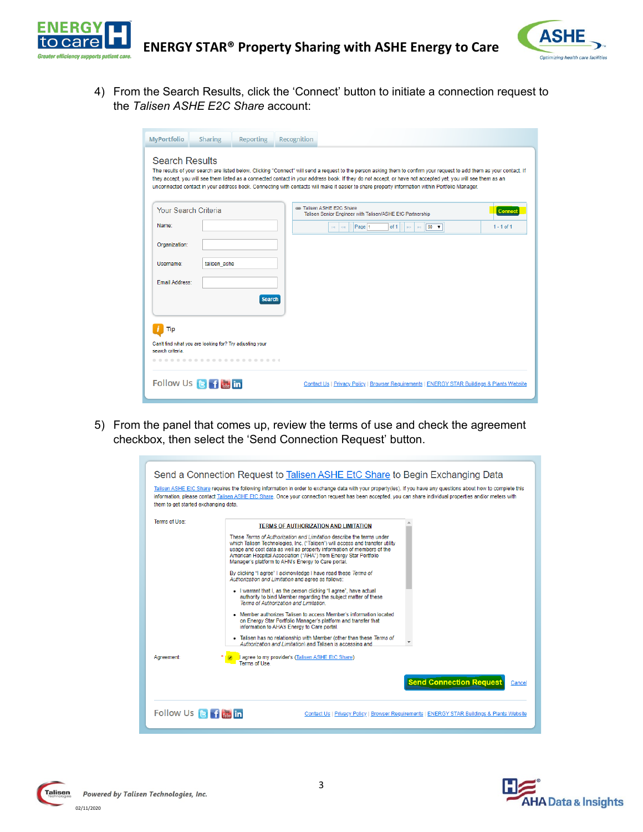



4) From the Search Results, click the 'Connect' button to initiate a connection request to the *Talisen ASHE E2C Share* account:

| <b>MyPortfolio</b>    | <b>Sharing</b>                                          | <b>Reporting</b> | Recognition |                                                                                                                                                                                                                                                                                                                                                                                                                                                                                        |
|-----------------------|---------------------------------------------------------|------------------|-------------|----------------------------------------------------------------------------------------------------------------------------------------------------------------------------------------------------------------------------------------------------------------------------------------------------------------------------------------------------------------------------------------------------------------------------------------------------------------------------------------|
| <b>Search Results</b> |                                                         |                  |             | The results of your search are listed below. Clicking "Connect" will send a request to the person asking them to confirm your request to add them as your contact. If<br>they accept, you will see them listed as a connected contact in your address book. If they do not accept, or have not accepted yet, you will see them as an<br>unconnected contact in your address book. Connecting with contacts will make it easier to share property information within Portfolio Manager. |
| Your Search Criteria  |                                                         |                  |             | @ Talisen ASHE E2C Share<br>Connec<br>Talisen Senior Engineer with Talisen/ASHE EtC Partnership                                                                                                                                                                                                                                                                                                                                                                                        |
| Name:                 |                                                         |                  |             | Page 1<br>$50 - v$<br>$1 - 1$ of 1<br>of 1<br>$\mathbb{H}$<br>$\mathbf{H}$<br>$\gg\gg$<br>$\leq$                                                                                                                                                                                                                                                                                                                                                                                       |
| Organization:         |                                                         |                  |             |                                                                                                                                                                                                                                                                                                                                                                                                                                                                                        |
| Username:             | talisen ashe                                            |                  |             |                                                                                                                                                                                                                                                                                                                                                                                                                                                                                        |
| <b>Email Address:</b> |                                                         |                  |             |                                                                                                                                                                                                                                                                                                                                                                                                                                                                                        |
|                       |                                                         | <b>Search</b>    |             |                                                                                                                                                                                                                                                                                                                                                                                                                                                                                        |
| Tip                   |                                                         |                  |             |                                                                                                                                                                                                                                                                                                                                                                                                                                                                                        |
| search criteria.      | Can't find what you are looking for? Try adjusting your |                  |             |                                                                                                                                                                                                                                                                                                                                                                                                                                                                                        |
|                       |                                                         | .                |             |                                                                                                                                                                                                                                                                                                                                                                                                                                                                                        |
|                       | Follow Us <b>B</b> f <b>ill</b> in                      |                  |             | Contact Us   Privacy Policy   Browser Requirements   ENERGY STAR Buildings & Plants Website                                                                                                                                                                                                                                                                                                                                                                                            |

5) From the panel that comes up, review the terms of use and check the agreement checkbox, then select the 'Send Connection Request' button.

| them to get started exchanging data. | Send a Connection Request to Talisen ASHE EtC Share to Begin Exchanging Data<br>Talisen ASHE EtC Share requires the following information in order to exchange data with your property(ies). If you have any questions about how to complete this<br>information, please contact Talisen ASHE EtC Share. Once your connection request has been accepted, you can share individual properties and/or meters with                                                                                                                                                                                                                                                                                                                                                                                                                                                                                                                                                                                                                              |
|--------------------------------------|----------------------------------------------------------------------------------------------------------------------------------------------------------------------------------------------------------------------------------------------------------------------------------------------------------------------------------------------------------------------------------------------------------------------------------------------------------------------------------------------------------------------------------------------------------------------------------------------------------------------------------------------------------------------------------------------------------------------------------------------------------------------------------------------------------------------------------------------------------------------------------------------------------------------------------------------------------------------------------------------------------------------------------------------|
| Terms of Use:                        | <b>TERMS OF AUTHORIZATION AND LIMITATION</b><br>These Terms of Authorization and Limitation describe the terms under<br>which Talisen Technologies, Inc. ("Talisen") will access and transfer utility<br>usage and cost data as well as property information of members of the<br>American Hospital Association ("AHA") from Energy Star Portfolio<br>Manager's platform to AHN's Energy to Care portal.<br>By clicking "I agree" I acknowledge I have read these Terms of<br>Authorization and Limitation and agree as follows:<br>. I warrant that I, as the person clicking "I agree", have actual<br>authority to bind Member regarding the subject matter of these<br>Terms of Authorization and Limitation<br>• Member authorizes Talisen to access Member's information located<br>on Energy Star Portfolio Manager's platform and transfer that<br>information to AHA's Energy to Care portal.<br>- Talisen has no relationship with Member (other than these Terms of<br>Authorization and Limitation) and Talisen is accessing and |
| Aareement:                           | agree to my provider's (Talisen ASHE EtC Share)<br>Terms of Use<br><b>Send Connection Request</b><br>Cancel                                                                                                                                                                                                                                                                                                                                                                                                                                                                                                                                                                                                                                                                                                                                                                                                                                                                                                                                  |
| Follow Us <b>B</b> f <b>in</b>       | Contact Us   Privacy Policy   Browser Requirements   ENERGY STAR Buildings & Plants Website                                                                                                                                                                                                                                                                                                                                                                                                                                                                                                                                                                                                                                                                                                                                                                                                                                                                                                                                                  |

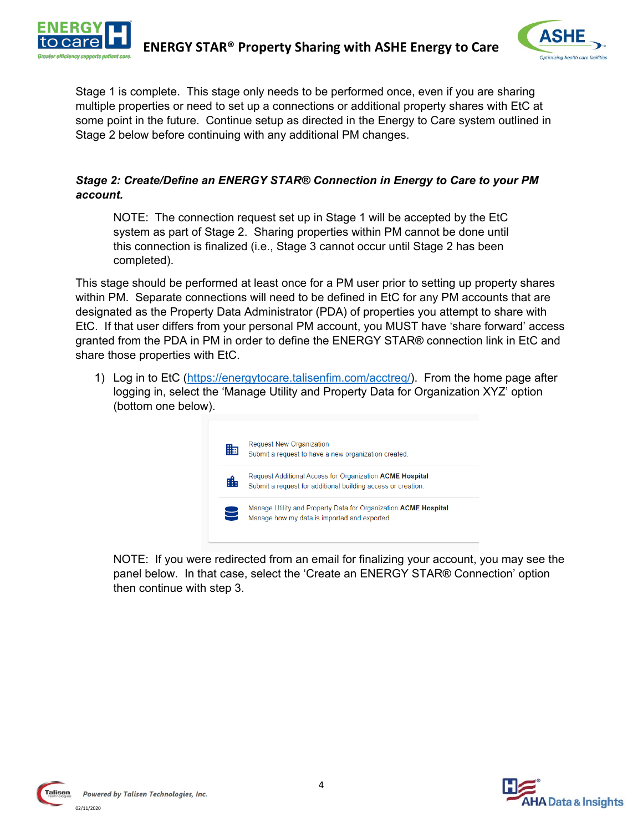



Stage 1 is complete. This stage only needs to be performed once, even if you are sharing multiple properties or need to set up a connections or additional property shares with EtC at some point in the future. Continue setup as directed in the Energy to Care system outlined in Stage 2 below before continuing with any additional PM changes.

#### *Stage 2: Create/Define an ENERGY STAR® Connection in Energy to Care to your PM account.*

NOTE: The connection request set up in Stage 1 will be accepted by the EtC system as part of Stage 2. Sharing properties within PM cannot be done until this connection is finalized (i.e., Stage 3 cannot occur until Stage 2 has been completed).

This stage should be performed at least once for a PM user prior to setting up property shares within PM. Separate connections will need to be defined in EtC for any PM accounts that are designated as the Property Data Administrator (PDA) of properties you attempt to share with EtC. If that user differs from your personal PM account, you MUST have 'share forward' access granted from the PDA in PM in order to define the ENERGY STAR® connection link in EtC and share those properties with EtC.

1) Log in to EtC (https://energytocare.talisenfim.com/acctreq/). From the home page after logging in, select the 'Manage Utility and Property Data for Organization XYZ' option (bottom one below).



NOTE: If you were redirected from an email for finalizing your account, you may see the panel below. In that case, select the 'Create an ENERGY STAR® Connection' option then continue with step 3.



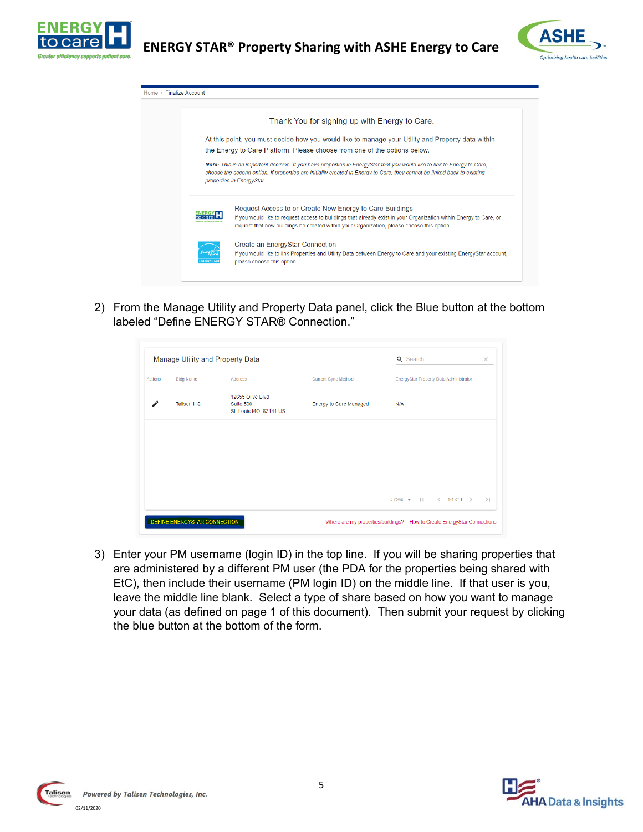



|  | Thank You for signing up with Energy to Care.                                                                                                                                                                                                                                     |
|--|-----------------------------------------------------------------------------------------------------------------------------------------------------------------------------------------------------------------------------------------------------------------------------------|
|  | At this point, you must decide how you would like to manage your Utility and Property data within                                                                                                                                                                                 |
|  | the Energy to Care Platform. Please choose from one of the options below.                                                                                                                                                                                                         |
|  | Note: This is an important decision. If you have properties in EnergyStar that you would like to link to Energy to Care.<br>choose the second option. If properties are initiallly created in Energy to Care, they cannot be linked back to existing<br>properties in EnergyStar. |
|  |                                                                                                                                                                                                                                                                                   |
|  | Request Access to or Create New Energy to Care Buildings                                                                                                                                                                                                                          |
|  | If you would like to request access to buildings that already exist in your Organization within Energy to Care, or<br>request that new buildings be created within your Organization, please choose this option.                                                                  |
|  | Create an EnergyStar Connection                                                                                                                                                                                                                                                   |

2) From the Manage Utility and Property Data panel, click the Blue button at the bottom labeled "Define ENERGY STAR® Connection."

| <b>Bldg Name</b> | Address                                                 |                            |                                        |                                   |
|------------------|---------------------------------------------------------|----------------------------|----------------------------------------|-----------------------------------|
|                  |                                                         | <b>Current Sync Method</b> | EnergyStar Property Data Administrator |                                   |
| Talisen HQ       | 12655 Olive Blvd<br>Suite 500<br>St. Louis MO, 63141 US | Energy to Care Managed     | N/A                                    |                                   |
|                  |                                                         |                            |                                        |                                   |
|                  |                                                         |                            |                                        |                                   |
|                  |                                                         |                            |                                        |                                   |
|                  |                                                         |                            |                                        |                                   |
|                  |                                                         |                            |                                        | 5 rows $\star$   < < 1-1 of 1 > > |

3) Enter your PM username (login ID) in the top line. If you will be sharing properties that are administered by a different PM user (the PDA for the properties being shared with EtC), then include their username (PM login ID) on the middle line. If that user is you, leave the middle line blank. Select a type of share based on how you want to manage your data (as defined on page 1 of this document). Then submit your request by clicking the blue button at the bottom of the form.



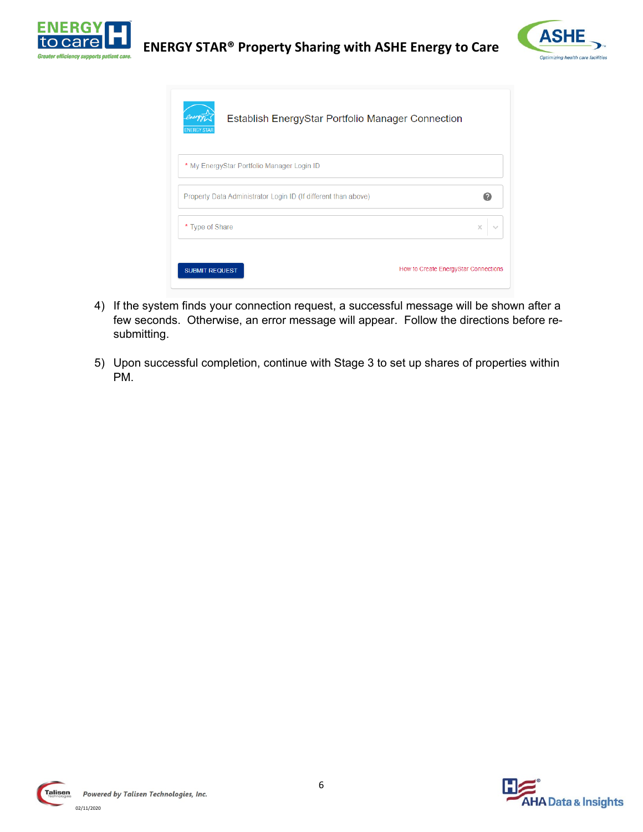



| Establish EnergyStar Portfolio Manager Connection              |                                      |
|----------------------------------------------------------------|--------------------------------------|
| * My EnergyStar Portfolio Manager Login ID                     |                                      |
| Property Data Administrator Login ID (If different than above) |                                      |
| * Type of Share                                                | ×                                    |
| <b>SUBMIT REQUEST</b>                                          | How to Create EnergyStar Connections |

- 4) If the system finds your connection request, a successful message will be shown after a few seconds. Otherwise, an error message will appear. Follow the directions before resubmitting.
- 5) Upon successful completion, continue with Stage 3 to set up shares of properties within PM.



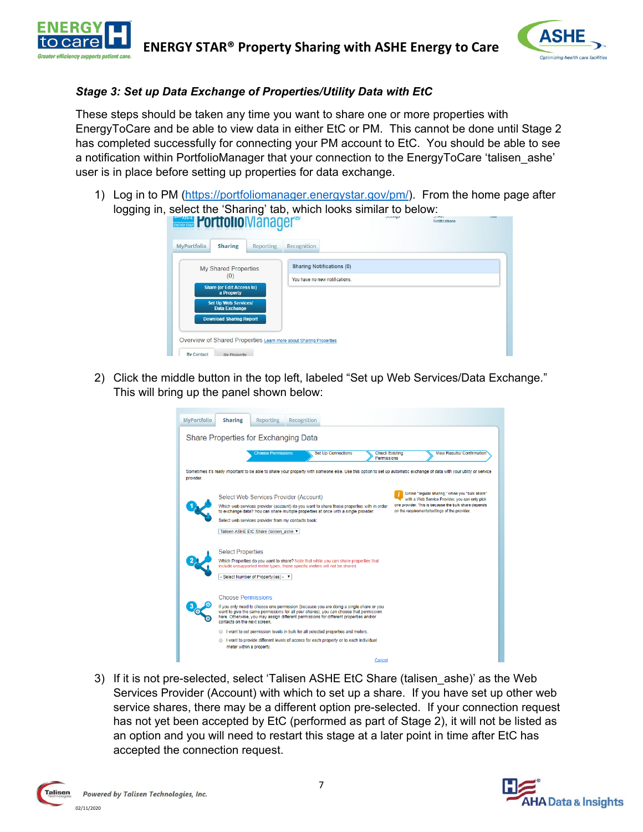



### *Stage 3: Set up Data Exchange of Properties/Utility Data with EtC*

These steps should be taken any time you want to share one or more properties with EnergyToCare and be able to view data in either EtC or PM. This cannot be done until Stage 2 has completed successfully for connecting your PM account to EtC. You should be able to see a notification within PortfolioManager that your connection to the EnergyToCare 'talisen ashe' user is in place before setting up properties for data exchange.

1) Log in to PM [\(https://portfoliomanager.energystar.gov/pm/\)](https://portfoliomanager.energystar.gov/pm/). From the home page after logging in, select the 'Sharing' tab, which looks similar to below:



2) Click the middle button in the top left, labeled "Set up Web Services/Data Exchange." This will bring up the panel shown below:

| <b>MyPortfolio</b> | Recognition<br><b>Sharing</b><br><b>Reporting</b>                                                                                                                                                                                                                                                                                                                                                                                                                                                                                       |
|--------------------|-----------------------------------------------------------------------------------------------------------------------------------------------------------------------------------------------------------------------------------------------------------------------------------------------------------------------------------------------------------------------------------------------------------------------------------------------------------------------------------------------------------------------------------------|
|                    | Share Properties for Exchanging Data                                                                                                                                                                                                                                                                                                                                                                                                                                                                                                    |
|                    | <b>Choose Permissions</b><br><b>Set Up Connections</b><br><b>Check Existing</b><br><b>View Results/ Confirmation</b><br>Permissions                                                                                                                                                                                                                                                                                                                                                                                                     |
| provider.          | Sometimes it's really important to be able to share your property with someone else. Use this option to set up automatic exchange of data with your utility or service                                                                                                                                                                                                                                                                                                                                                                  |
|                    | Unlike "regular sharing," when you "bulk share"<br>Select Web Services Provider (Account)<br>with a Web Service Provider, you can only pick<br>one provider. This is because the bulk share depends<br>Which web services provider (account) do you want to share these properties with in order<br>on the requirements/settings of the provider.<br>to exchange data? You can share multiple properties at once with a single provider.<br>Select web services provider from my contacts book:<br>Talisen ASHE EtC Share (talisen ashe |
|                    | <b>Select Properties</b><br>Which Properties do you want to share? Note that while you can share properties that<br>include unsupported meter types, those specific meters will not be shared.<br>- Select Number of Property(ies) - v                                                                                                                                                                                                                                                                                                  |
|                    | <b>Choose Permissions</b><br>If you only need to choose one permission (because you are doing a single share or you<br>want to give the same permissions for all your shares), you can choose that permission<br>here. Otherwise, you may assign different permissions for different properties and/or<br>contacts on the next screen                                                                                                                                                                                                   |
|                    | I want to set permission levels in bulk for all selected properties and meters.<br>$\circ$<br>I want to provide different levels of access for each property or to each individual<br>meter within a property.                                                                                                                                                                                                                                                                                                                          |
|                    | Cancel                                                                                                                                                                                                                                                                                                                                                                                                                                                                                                                                  |

3) If it is not pre-selected, select 'Talisen ASHE EtC Share (talisen\_ashe)' as the Web Services Provider (Account) with which to set up a share. If you have set up other web service shares, there may be a different option pre-selected. If your connection request has not yet been accepted by EtC (performed as part of Stage 2), it will not be listed as an option and you will need to restart this stage at a later point in time after EtC has accepted the connection request.



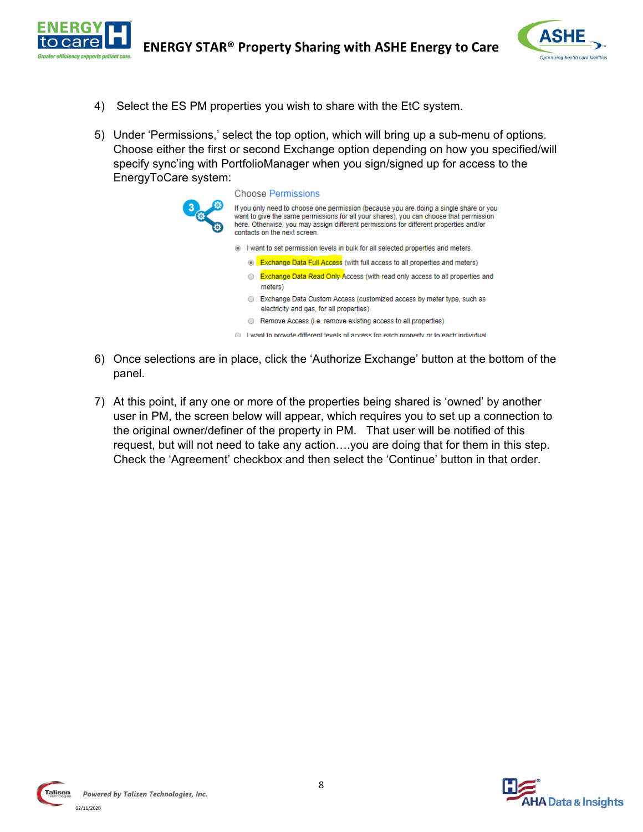



- 4) Select the ES PM properties you wish to share with the EtC system.
- 5) Under 'Permissions,' select the top option, which will bring up a sub-menu of options. Choose either the first or second Exchange option depending on how you specified/will specify sync'ing with PortfolioManager when you sign/signed up for access to the EnergyToCare system:

|     | Choose Permissions                                                                                                                                                                                                                                                                                        |
|-----|-----------------------------------------------------------------------------------------------------------------------------------------------------------------------------------------------------------------------------------------------------------------------------------------------------------|
| lÖ. | If you only need to choose one permission (because you are doing a single share or you<br>want to give the same permissions for all your shares), you can choose that permission<br>here. Otherwise, you may assign different permissions for different properties and/or<br>contacts on the next screen. |
|     | I want to set permission levels in bulk for all selected properties and meters.                                                                                                                                                                                                                           |
|     | <b>Exchange Data Full Access</b> (with full access to all properties and meters)                                                                                                                                                                                                                          |
|     | <b>Exchange Data Read Only Access (with read only access to all properties and</b><br>meters)                                                                                                                                                                                                             |
|     | Exchange Data Custom Access (customized access by meter type, such as<br>electricity and gas, for all properties)                                                                                                                                                                                         |
|     | Remove Access (i.e. remove existing access to all properties)                                                                                                                                                                                                                                             |
|     | I want to provide different levels of access for each property or to each individual                                                                                                                                                                                                                      |

- 6) Once selections are in place, click the 'Authorize Exchange' button at the bottom of the panel.
- 7) At this point, if any one or more of the properties being shared is 'owned' by another user in PM, the screen below will appear, which requires you to set up a connection to the original owner/definer of the property in PM. That user will be notified of this request, but will not need to take any action….you are doing that for them in this step. Check the 'Agreement' checkbox and then select the 'Continue' button in that order.



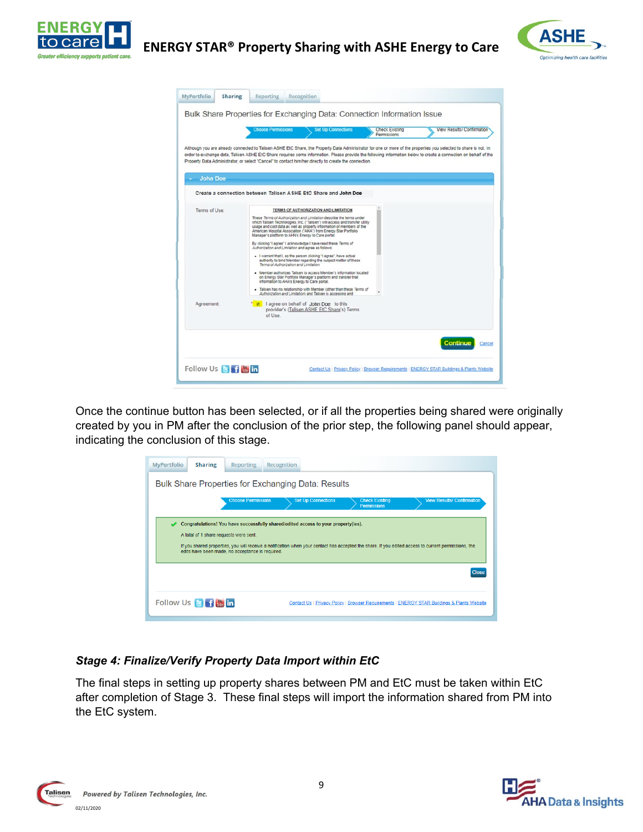



|                 | <b>Choose Permissions</b>                                                                                                                                                                         | <b>Set Up Connections</b>                                                                                                                                                                                                                                                                                                                                                                                                                                                                                                                                                                                                                                                                                                                                                                                                         | <b>Check Existing</b><br>Permissions | View Results/ Confirmation                                                                                                                                                                                                                                                                                                           |
|-----------------|---------------------------------------------------------------------------------------------------------------------------------------------------------------------------------------------------|-----------------------------------------------------------------------------------------------------------------------------------------------------------------------------------------------------------------------------------------------------------------------------------------------------------------------------------------------------------------------------------------------------------------------------------------------------------------------------------------------------------------------------------------------------------------------------------------------------------------------------------------------------------------------------------------------------------------------------------------------------------------------------------------------------------------------------------|--------------------------------------|--------------------------------------------------------------------------------------------------------------------------------------------------------------------------------------------------------------------------------------------------------------------------------------------------------------------------------------|
|                 | Property Data Administrator, or select "Cancel" to contact him/her directly to create the connection.                                                                                             |                                                                                                                                                                                                                                                                                                                                                                                                                                                                                                                                                                                                                                                                                                                                                                                                                                   |                                      | Although you are already connected to Talisen ASHE EtC Share, the Property Data Administrator for one or more of the properties you selected to share is not. In<br>order to exchange data, Talisen ASHE EtC Share requires some information. Please provide the following information below to create a connection on behalf of the |
| <b>John Doe</b> |                                                                                                                                                                                                   |                                                                                                                                                                                                                                                                                                                                                                                                                                                                                                                                                                                                                                                                                                                                                                                                                                   |                                      |                                                                                                                                                                                                                                                                                                                                      |
|                 | Create a connection between Talisen ASHE EtC Share and John Doe                                                                                                                                   |                                                                                                                                                                                                                                                                                                                                                                                                                                                                                                                                                                                                                                                                                                                                                                                                                                   |                                      |                                                                                                                                                                                                                                                                                                                                      |
| Terms of Use:   | Manager's platform to AHN's Energy to Care portal.<br>Authorization and Limitation and agree as follows:<br>Terms of Authorization and Limitation.<br>information to AHA's Energy to Care portal. | TERMS OF AUTHORIZATION AND LIMITATION<br>These Terms of Authorization and Limitation describe the terms under<br>which Talisen Technologies, Inc. ("Talisen") will access and transfer utility<br>usage and cost data as well as property information of members of the<br>American Hospital Association ("AHA") from Energy Star Portfolio<br>By clicking "I agree" I acknowledge I have read these Terms of<br>. I warrant that I, as the person clicking "I agree", have actual<br>authority to bind Member regarding the subject matter of these<br>· Member authorizes Talisen to access Member's information located<br>on Energy Star Portfolio Manager's platform and transfer that<br>- Talisen has no relationship with Member (other than these Terms of<br>Authorization and Limitation) and Talisen is accessing and |                                      |                                                                                                                                                                                                                                                                                                                                      |
| Agreement:      | <b>The lagree on behalf of John Doe</b> to this<br>of Use.                                                                                                                                        | provider's (Talisen ASHE EtC Share's) Terms                                                                                                                                                                                                                                                                                                                                                                                                                                                                                                                                                                                                                                                                                                                                                                                       |                                      | <b>Continue</b><br>Cancel                                                                                                                                                                                                                                                                                                            |

Once the continue button has been selected, or if all the properties being shared were originally created by you in PM after the conclusion of the prior step, the following panel should appear, indicating the conclusion of this stage.

| <b>MyPortfolio</b>                                                                                                                         | <b>Sharing</b>                                                                                                                                                                                                                                                                                                                           | <b>Reporting</b> | Recognition |  |  |  |  |  |  |
|--------------------------------------------------------------------------------------------------------------------------------------------|------------------------------------------------------------------------------------------------------------------------------------------------------------------------------------------------------------------------------------------------------------------------------------------------------------------------------------------|------------------|-------------|--|--|--|--|--|--|
| <b>Bulk Share Properties for Exchanging Data: Results</b>                                                                                  |                                                                                                                                                                                                                                                                                                                                          |                  |             |  |  |  |  |  |  |
| <b>Choose Permissions</b><br><b>Set Up Connections</b><br><b>Check Existing</b><br><b>View Results/ Confirmation</b><br><b>Permissions</b> |                                                                                                                                                                                                                                                                                                                                          |                  |             |  |  |  |  |  |  |
|                                                                                                                                            | Congratulations! You have successfully shared/edited access to your property(ies).<br>A total of 1 share requests were sent.<br>If you shared properties, you will receive a notification when your contact has accepted the share. If you edited access to current permissions, the<br>edits have been made, no acceptance is required. |                  |             |  |  |  |  |  |  |
| <b>Close</b>                                                                                                                               |                                                                                                                                                                                                                                                                                                                                          |                  |             |  |  |  |  |  |  |
|                                                                                                                                            | Follow Us <b>B</b> f <mark>湍 in</mark><br>Contact Us   Privacy Policy   Browser Requirements   ENERGY STAR Buildings & Plants Website                                                                                                                                                                                                    |                  |             |  |  |  |  |  |  |

#### *Stage 4: Finalize/Verify Property Data Import within EtC*

The final steps in setting up property shares between PM and EtC must be taken within EtC after completion of Stage 3. These final steps will import the information shared from PM into the EtC system.



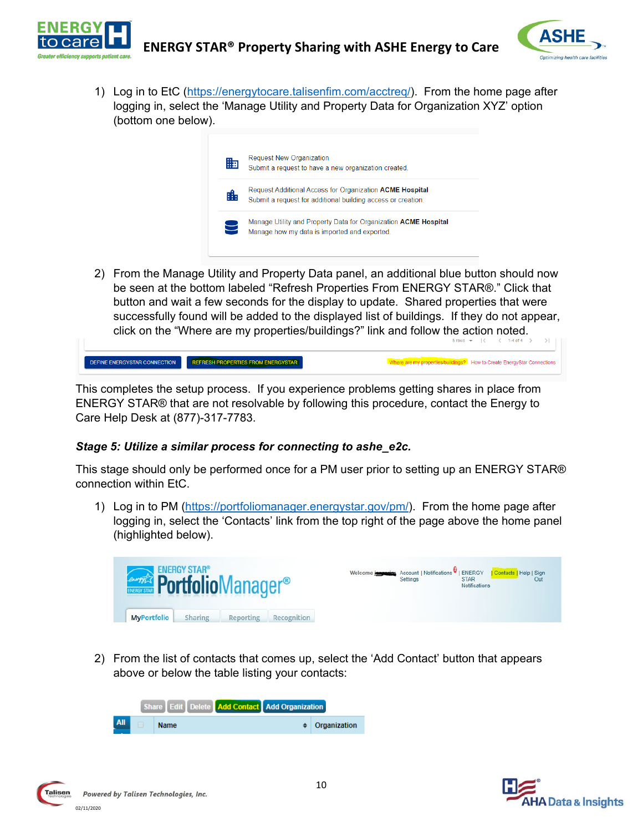



**properties/buildings?** How to Create EnergyStar Connections

1) Log in to EtC (https://energytocare.talisenfim.com/acctreq/). From the home page after logging in, select the 'Manage Utility and Property Data for Organization XYZ' option (bottom one below).



2) From the Manage Utility and Property Data panel, an additional blue button should now be seen at the bottom labeled "Refresh Properties From ENERGY STAR®." Click that button and wait a few seconds for the display to update. Shared properties that were successfully found will be added to the displayed list of buildings. If they do not appear, click on the "Where are my properties/buildings?" link and follow the action noted.

| DEFINE ENERGYSTAR CONNECTION | REFRESH PROPERTIES FROM ENERGYSTAR |  |
|------------------------------|------------------------------------|--|
|------------------------------|------------------------------------|--|

This completes the setup process. If you experience problems getting shares in place from ENERGY STAR® that are not resolvable by following this procedure, contact the Energy to Care Help Desk at (877)-317-7783.

#### *Stage 5: Utilize a similar process for connecting to ashe\_e2c.*

This stage should only be performed once for a PM user prior to setting up an ENERGY STAR® connection within EtC.

1) Log in to PM [\(https://portfoliomanager.energystar.gov/pm/\)](https://portfoliomanager.energystar.gov/pm/). From the home page after logging in, select the 'Contacts' link from the top right of the page above the home panel (highlighted below).



2) From the list of contacts that comes up, select the 'Add Contact' button that appears above or below the table listing your contacts:

|     | Share Edit Delete Add Contact Add Organization |              |
|-----|------------------------------------------------|--------------|
| All | <b>Name</b>                                    | Organization |

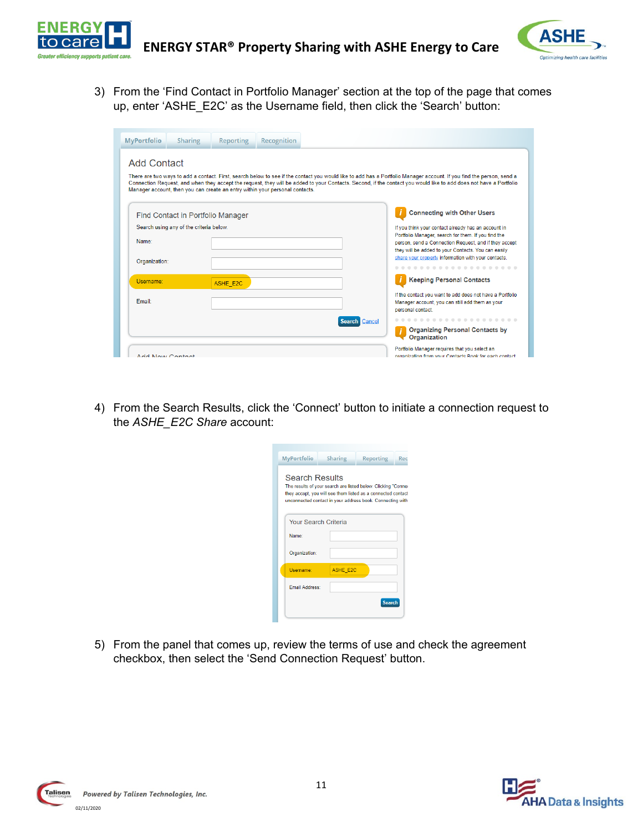



3) From the 'Find Contact in Portfolio Manager' section at the top of the page that comes up, enter 'ASHE\_E2C' as the Username field, then click the 'Search' button:

| <b>MyPortfolio</b>                                                                                                                                                                                                                                                                                                                                                                                                                              | Sharing                                 | <b>Reporting</b> | Recognition |                                                                                                                                                                                                                                                                                   |                         |                                                                                                                                  |
|-------------------------------------------------------------------------------------------------------------------------------------------------------------------------------------------------------------------------------------------------------------------------------------------------------------------------------------------------------------------------------------------------------------------------------------------------|-----------------------------------------|------------------|-------------|-----------------------------------------------------------------------------------------------------------------------------------------------------------------------------------------------------------------------------------------------------------------------------------|-------------------------|----------------------------------------------------------------------------------------------------------------------------------|
| <b>Add Contact</b><br>There are two ways to add a contact. First, search below to see if the contact you would like to add has a Portfolio Manager account. If you find the person, send a<br>Connection Request, and when they accept the request, they will be added to your Contacts. Second, if the contact you would like to add does not have a Portfolio<br>Manager account, then you can create an entry within your personal contacts. |                                         |                  |             |                                                                                                                                                                                                                                                                                   |                         |                                                                                                                                  |
| <b>Connecting with Other Users</b><br>Find Contact in Portfolio Manager                                                                                                                                                                                                                                                                                                                                                                         |                                         |                  |             |                                                                                                                                                                                                                                                                                   |                         |                                                                                                                                  |
| Name:<br>Organization:                                                                                                                                                                                                                                                                                                                                                                                                                          | Search using any of the criteria below. |                  |             | If you think your contact already has an account in<br>Portfolio Manager, search for them. If you find the<br>person, send a Connection Request, and if they accept<br>they will be added to your Contacts. You can easily<br>share your property information with your contacts. |                         |                                                                                                                                  |
|                                                                                                                                                                                                                                                                                                                                                                                                                                                 |                                         |                  |             |                                                                                                                                                                                                                                                                                   |                         |                                                                                                                                  |
| Username:                                                                                                                                                                                                                                                                                                                                                                                                                                       |                                         | <b>ASHE E2C</b>  |             |                                                                                                                                                                                                                                                                                   |                         | <b>Keeping Personal Contacts</b>                                                                                                 |
| <b>Fmail:</b>                                                                                                                                                                                                                                                                                                                                                                                                                                   |                                         |                  |             |                                                                                                                                                                                                                                                                                   |                         | If the contact you want to add does not have a Portfolio<br>Manager account, you can still add them as your<br>personal contact. |
|                                                                                                                                                                                                                                                                                                                                                                                                                                                 |                                         |                  |             |                                                                                                                                                                                                                                                                                   | Cancel<br><b>Search</b> |                                                                                                                                  |
|                                                                                                                                                                                                                                                                                                                                                                                                                                                 |                                         |                  |             |                                                                                                                                                                                                                                                                                   |                         | <b>Organizing Personal Contacts by</b><br><b>Organization</b>                                                                    |
| Add Now Contact                                                                                                                                                                                                                                                                                                                                                                                                                                 |                                         |                  |             | Portfolio Manager requires that you select an<br>organization from your Contacts Rook for each contact                                                                                                                                                                            |                         |                                                                                                                                  |

4) From the Search Results, click the 'Connect' button to initiate a connection request to the *ASHE\_E2C Share* account:

| <b>MyPortfolio</b>                                                                                                                                                                                                  | <b>Sharing</b>       | <b>Reporting</b> | Rec |  |  |
|---------------------------------------------------------------------------------------------------------------------------------------------------------------------------------------------------------------------|----------------------|------------------|-----|--|--|
| <b>Search Results</b><br>The results of your search are listed below. Clicking "Conner<br>they accept, you will see them listed as a connected contact<br>unconnected contact in your address book. Connecting with |                      |                  |     |  |  |
|                                                                                                                                                                                                                     | Your Search Criteria |                  |     |  |  |
| Name:                                                                                                                                                                                                               |                      |                  |     |  |  |
| Organization:                                                                                                                                                                                                       |                      |                  |     |  |  |
| Username:                                                                                                                                                                                                           | <b>ASHE E2C</b>      |                  |     |  |  |
| <b>Email Address:</b>                                                                                                                                                                                               |                      |                  |     |  |  |
|                                                                                                                                                                                                                     |                      | <b>Search</b>    |     |  |  |

5) From the panel that comes up, review the terms of use and check the agreement checkbox, then select the 'Send Connection Request' button.

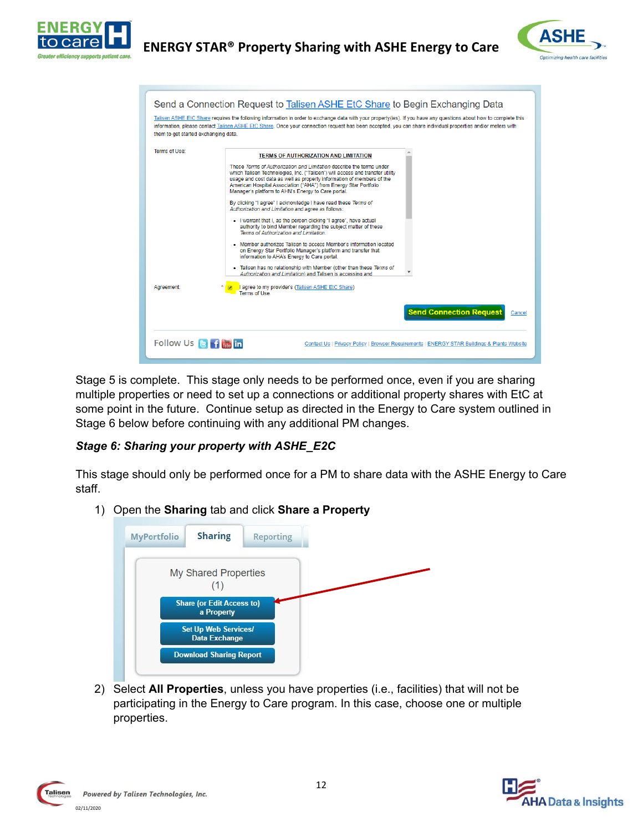



| Send a Connection Request to Talisen ASHE EtC Share to Begin Exchanging Data                                                                                                                                                                                                                                                                                            |                                                                                                                                                                                                                                                                                                                                                                                                                                                                                                                                                                                                                                                                                                                                                                                                                                                                                                                                                                                                                                               |  |
|-------------------------------------------------------------------------------------------------------------------------------------------------------------------------------------------------------------------------------------------------------------------------------------------------------------------------------------------------------------------------|-----------------------------------------------------------------------------------------------------------------------------------------------------------------------------------------------------------------------------------------------------------------------------------------------------------------------------------------------------------------------------------------------------------------------------------------------------------------------------------------------------------------------------------------------------------------------------------------------------------------------------------------------------------------------------------------------------------------------------------------------------------------------------------------------------------------------------------------------------------------------------------------------------------------------------------------------------------------------------------------------------------------------------------------------|--|
| Talisen ASHE EtC Share requires the following information in order to exchange data with your property(ies). If you have any questions about how to complete this<br>information, please contact Talisen ASHE EtC Share. Once your connection request has been accepted, you can share individual properties and/or meters with<br>them to get started exchanging data. |                                                                                                                                                                                                                                                                                                                                                                                                                                                                                                                                                                                                                                                                                                                                                                                                                                                                                                                                                                                                                                               |  |
| Terms of Use:                                                                                                                                                                                                                                                                                                                                                           | <b>TERMS OF AUTHORIZATION AND LIMITATION</b><br>These Terms of Authorization and Limitation describe the terms under<br>which Talisen Technologies, Inc. ("Talisen") will access and transfer utility<br>usage and cost data as well as property information of members of the<br>American Hospital Association ("AHA") from Energy Star Portfolio<br>Manager's platform to AHN's Energy to Care portal.<br>By clicking "I agree" I acknowledge I have read these Terms of<br>Authorization and Limitation and agree as follows:<br>. I warrant that I, as the person clicking "I agree", have actual<br>authority to bind Member regarding the subject matter of these<br>Terms of Authorization and Limitation.<br>• Member authorizes Talisen to access Member's information located<br>on Energy Star Portfolio Manager's platform and transfer that<br>information to AHA's Energy to Care portal.<br>. Talisen has no relationship with Member (other than these Terms of<br>Authorization and Limitation) and Talisen is accessing and |  |
| Agreement:                                                                                                                                                                                                                                                                                                                                                              | agree to my provider's (Talisen ASHE EtC Share)<br>Terms of Use<br><b>Send Connection Request</b><br>Cancel                                                                                                                                                                                                                                                                                                                                                                                                                                                                                                                                                                                                                                                                                                                                                                                                                                                                                                                                   |  |
| Follow Us <b>B</b> f <b>in</b><br>Contact Us   Privacy Policy   Browser Requirements   ENERGY STAR Buildings & Plants Website                                                                                                                                                                                                                                           |                                                                                                                                                                                                                                                                                                                                                                                                                                                                                                                                                                                                                                                                                                                                                                                                                                                                                                                                                                                                                                               |  |

Stage 5 is complete. This stage only needs to be performed once, even if you are sharing multiple properties or need to set up a connections or additional property shares with EtC at some point in the future. Continue setup as directed in the Energy to Care system outlined in Stage 6 below before continuing with any additional PM changes.

#### *Stage 6: Sharing your property with ASHE\_E2C*

This stage should only be performed once for a PM to share data with the ASHE Energy to Care staff.

1) Open the **Sharing** tab and click **Share a Property**



2) Select **All Properties**, unless you have properties (i.e., facilities) that will not be participating in the Energy to Care program. In this case, choose one or multiple properties.